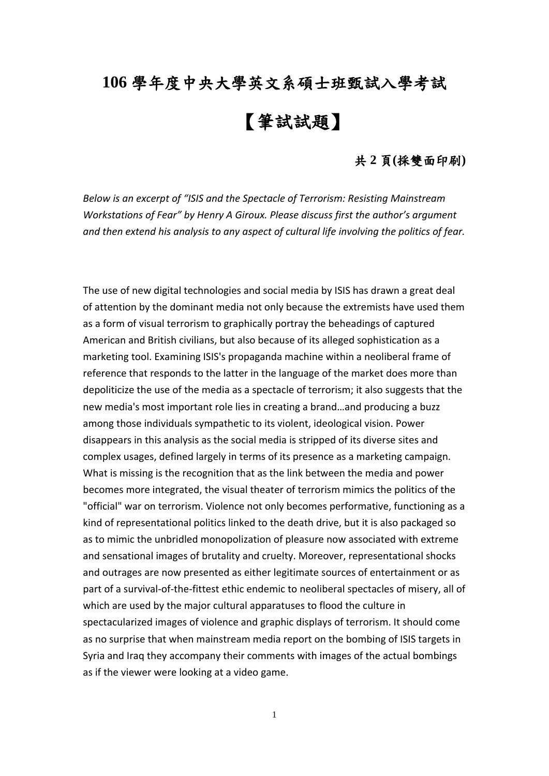## **106** 學年度中央大學英文系碩士班甄試入學考試

## 【筆試試題】

## 共 **2** 頁**(**採雙面印刷**)**

*Below is an excerpt of "ISIS and the Spectacle of Terrorism: Resisting Mainstream Workstations of Fear" by Henry A Giroux. Please discuss first the author's argument and then extend his analysis to any aspect of cultural life involving the politics of fear.* 

The use of new digital technologies and social media by ISIS has drawn a great deal of attention by the dominant media not only because the extremists have used them as a form of visual terrorism to graphically portray the beheadings of captured American and British civilians, but also because of its alleged sophistication as a marketing tool. Examining ISIS's propaganda machine within a neoliberal frame of reference that responds to the latter in the language of the market does more than depoliticize the use of the media as a spectacle of terrorism; it also suggests that the new media's most important role lies in creating a brand…and producing a buzz among those individuals sympathetic to its violent, ideological vision. Power disappears in this analysis as the social media is stripped of its diverse sites and complex usages, defined largely in terms of its presence as a marketing campaign. What is missing is the recognition that as the link between the media and power becomes more integrated, the visual theater of terrorism mimics the politics of the "official" war on terrorism. Violence not only becomes performative, functioning as a kind of representational politics linked to the death drive, but it is also packaged so as to mimic the unbridled monopolization of pleasure now associated with extreme and sensational images of brutality and cruelty. Moreover, representational shocks and outrages are now presented as either legitimate sources of entertainment or as part of a survival-of-the-fittest ethic endemic to neoliberal spectacles of misery, all of which are used by the major cultural apparatuses to flood the culture in spectacularized images of violence and graphic displays of terrorism. It should come as no surprise that when mainstream media report on the bombing of ISIS targets in Syria and Iraq they accompany their comments with images of the actual bombings as if the viewer were looking at a video game.